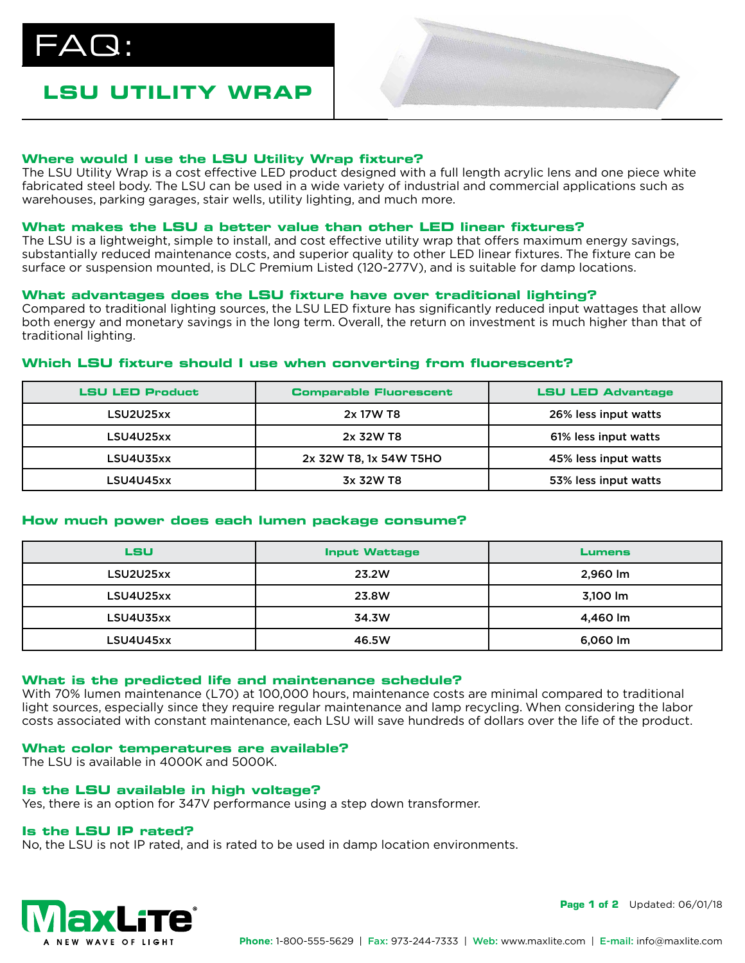$\Delta\bm{\mathsf{Q}}$  :

# **LSU UTILITY WRAP**



# **Where would I use the LSU Utility Wrap fixture?**

The LSU Utility Wrap is a cost effective LED product designed with a full length acrylic lens and one piece white fabricated steel body. The LSU can be used in a wide variety of industrial and commercial applications such as warehouses, parking garages, stair wells, utility lighting, and much more.

## **What makes the LSU a better value than other LED linear fixtures?**

The LSU is a lightweight, simple to install, and cost effective utility wrap that offers maximum energy savings, substantially reduced maintenance costs, and superior quality to other LED linear fixtures. The fixture can be surface or suspension mounted, is DLC Premium Listed (120-277V), and is suitable for damp locations.

# **What advantages does the LSU fixture have over traditional lighting?**

Compared to traditional lighting sources, the LSU LED fixture has significantly reduced input wattages that allow both energy and monetary savings in the long term. Overall, the return on investment is much higher than that of traditional lighting.

# **Which LSU fixture should I use when converting from fluorescent?**

| <b>LSU LED Product</b> | <b>Comparable Fluorescent</b> | <b>LSU LED Advantage</b> |
|------------------------|-------------------------------|--------------------------|
| LSU2U25xx              | 2x 17W T8                     | 26% less input watts     |
| LSU4U25xx              | 2x 32W T8                     | 61% less input watts     |
| LSU4U35xx              | 2x 32W T8, 1x 54W T5HO        | 45% less input watts     |
| LSU4U45xx              | 3x 32W T8                     | 53% less input watts     |

# **How much power does each lumen package consume?**

| LSU       | <b>Input Wattage</b> | <b>Lumens</b> |
|-----------|----------------------|---------------|
| LSU2U25xx | 23.2W                | 2,960 lm      |
| LSU4U25xx | 23.8W                | 3,100 lm      |
| LSU4U35xx | 34.3W                | 4,460 lm      |
| LSU4U45xx | 46.5W                | 6,060 lm      |

## **What is the predicted life and maintenance schedule?**

With 70% lumen maintenance (L70) at 100,000 hours, maintenance costs are minimal compared to traditional light sources, especially since they require regular maintenance and lamp recycling. When considering the labor costs associated with constant maintenance, each LSU will save hundreds of dollars over the life of the product.

## **What color temperatures are available?**

The LSU is available in 4000K and 5000K.

## **Is the LSU available in high voltage?**

Yes, there is an option for 347V performance using a step down transformer.

## **Is the LSU IP rated?**

No, the LSU is not IP rated, and is rated to be used in damp location environments.



**Page 1 of 2** Updated: 06/01/18